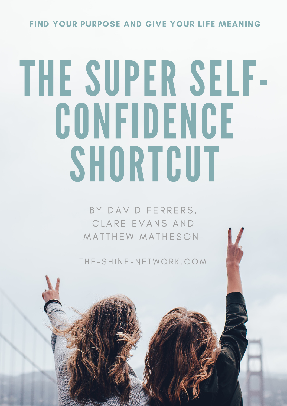#### **FIND YOUR PURPOSE AND GIVE YOUR LIFE MEANING**

# THE SUPER SELF-CONFIDENCE SHORTCUT

BY DAVID FERRERS, CLARE EVANS AND MATTHEW MATHESON

THE-SHINE-NETWORK.COM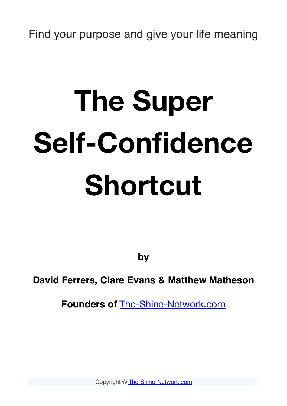Find your purpose and give your life meaning

# **The Super Self-Confidence Shortcut**

**by**

**David Ferrers, Clare Evans & Matthew Matheson**

**Founders of** [The-Shine-Network.com](http://The-Shine-Network.com)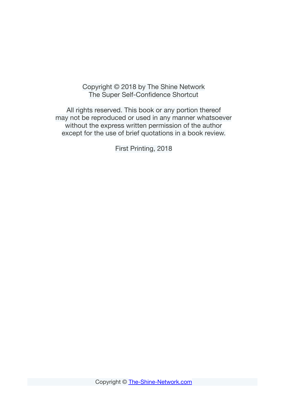#### Copyright © 2018 by The Shine Network The Super Self-Confidence Shortcut

All rights reserved. This book or any portion thereof may not be reproduced or used in any manner whatsoever without the express written permission of the author except for the use of brief quotations in a book review.

First Printing, 2018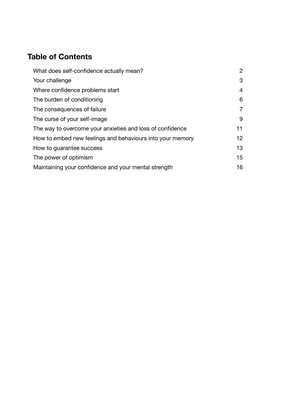#### **Table of Contents**

| What does self-confidence actually mean?                  |                |
|-----------------------------------------------------------|----------------|
| Your challenge                                            | 3              |
| Where confidence problems start                           | $\overline{4}$ |
| The burden of conditioning                                | 6              |
| The consequences of failure                               | $\overline{7}$ |
| The curse of your self-image                              | 9              |
| The way to overcome your anxieties and loss of confidence | 11             |
| How to embed new feelings and behaviours into your memory | 12             |
| How to guarantee success                                  | 13             |
| The power of optimism                                     | 15             |
| Maintaining your confidence and your mental strength      |                |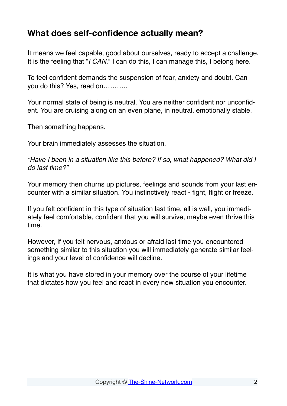#### <span id="page-4-0"></span>**What does self-confidence actually mean?**

It means we feel capable, good about ourselves, ready to accept a challenge. It is the feeling that "*I CAN.*" I can do this, I can manage this, I belong here.

To feel confident demands the suspension of fear, anxiety and doubt. Can you do this? Yes, read on………..

Your normal state of being is neutral. You are neither confident nor unconfident. You are cruising along on an even plane, in neutral, emotionally stable.

Then something happens.

Your brain immediately assesses the situation.

*"Have I been in a situation like this before? If so, what happened? What did I do last time?"*

Your memory then churns up pictures, feelings and sounds from your last encounter with a similar situation. You instinctively react - fight, flight or freeze.

If you felt confident in this type of situation last time, all is well, you immediately feel comfortable, confident that you will survive, maybe even thrive this time.

However, if you felt nervous, anxious or afraid last time you encountered something similar to this situation you will immediately generate similar feelings and your level of confidence will decline.

It is what you have stored in your memory over the course of your lifetime that dictates how you feel and react in every new situation you encounter.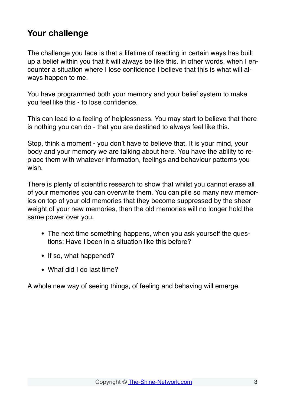#### <span id="page-5-0"></span>**Your challenge**

The challenge you face is that a lifetime of reacting in certain ways has built up a belief within you that it will always be like this. In other words, when I encounter a situation where I lose confidence I believe that this is what will always happen to me.

You have programmed both your memory and your belief system to make you feel like this - to lose confidence.

This can lead to a feeling of helplessness. You may start to believe that there is nothing you can do - that you are destined to always feel like this.

Stop, think a moment - you don't have to believe that. It is your mind, your body and your memory we are talking about here. You have the ability to replace them with whatever information, feelings and behaviour patterns you wish.

There is plenty of scientific research to show that whilst you cannot erase all of your memories you can overwrite them. You can pile so many new memories on top of your old memories that they become suppressed by the sheer weight of your new memories, then the old memories will no longer hold the same power over you.

- The next time something happens, when you ask yourself the questions: Have I been in a situation like this before?
- If so, what happened?
- What did I do last time?

A whole new way of seeing things, of feeling and behaving will emerge.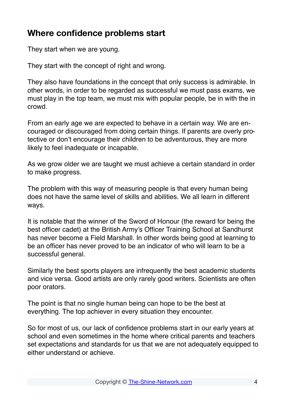#### <span id="page-6-0"></span>**Where confidence problems start**

They start when we are young.

They start with the concept of right and wrong.

They also have foundations in the concept that only success is admirable. In other words, in order to be regarded as successful we must pass exams, we must play in the top team, we must mix with popular people, be in with the in crowd.

From an early age we are expected to behave in a certain way. We are encouraged or discouraged from doing certain things. If parents are overly protective or don't encourage their children to be adventurous, they are more likely to feel inadequate or incapable.

As we grow older we are taught we must achieve a certain standard in order to make progress.

The problem with this way of measuring people is that every human being does not have the same level of skills and abilities. We all learn in different ways.

It is notable that the winner of the Sword of Honour (the reward for being the best officer cadet) at the British Army's Officer Training School at Sandhurst has never become a Field Marshall. In other words being good at learning to be an officer has never proved to be an indicator of who will learn to be a successful general.

Similarly the best sports players are infrequently the best academic students and vice versa. Good artists are only rarely good writers. Scientists are often poor orators.

The point is that no single human being can hope to be the best at everything. The top achiever in every situation they encounter.

So for most of us, our lack of confidence problems start in our early years at school and even sometimes in the home where critical parents and teachers set expectations and standards for us that we are not adequately equipped to either understand or achieve.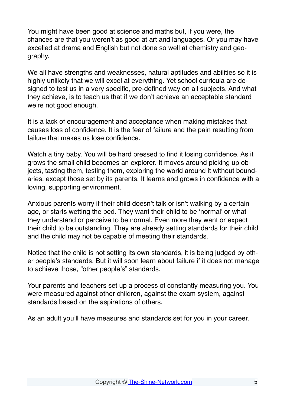You might have been good at science and maths but, if you were, the chances are that you weren't as good at art and languages. Or you may have excelled at drama and English but not done so well at chemistry and geography.

We all have strengths and weaknesses, natural aptitudes and abilities so it is highly unlikely that we will excel at everything. Yet school curricula are designed to test us in a very specific, pre-defined way on all subjects. And what they achieve, is to teach us that if we don't achieve an acceptable standard we're not good enough.

It is a lack of encouragement and acceptance when making mistakes that causes loss of confidence. It is the fear of failure and the pain resulting from failure that makes us lose confidence.

Watch a tiny baby. You will be hard pressed to find it losing confidence. As it grows the small child becomes an explorer. It moves around picking up objects, tasting them, testing them, exploring the world around it without boundaries, except those set by its parents. It learns and grows in confidence with a loving, supporting environment.

Anxious parents worry if their child doesn't talk or isn't walking by a certain age, or starts wetting the bed. They want their child to be 'normal' or what they understand or perceive to be normal. Even more they want or expect their child to be outstanding. They are already setting standards for their child and the child may not be capable of meeting their standards.

Notice that the child is not setting its own standards, it is being judged by other people's standards. But it will soon learn about failure if it does not manage to achieve those, "other people's" standards.

Your parents and teachers set up a process of constantly measuring you. You were measured against other children, against the exam system, against standards based on the aspirations of others.

As an adult you'll have measures and standards set for you in your career.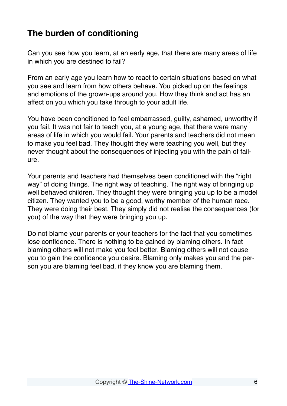#### <span id="page-8-0"></span>**The burden of conditioning**

Can you see how you learn, at an early age, that there are many areas of life in which you are destined to fail?

From an early age you learn how to react to certain situations based on what you see and learn from how others behave. You picked up on the feelings and emotions of the grown-ups around you. How they think and act has an affect on you which you take through to your adult life.

You have been conditioned to feel embarrassed, guilty, ashamed, unworthy if you fail. It was not fair to teach you, at a young age, that there were many areas of life in which you would fail. Your parents and teachers did not mean to make you feel bad. They thought they were teaching you well, but they never thought about the consequences of injecting you with the pain of failure.

Your parents and teachers had themselves been conditioned with the "right way" of doing things. The right way of teaching. The right way of bringing up well behaved children. They thought they were bringing you up to be a model citizen. They wanted you to be a good, worthy member of the human race. They were doing their best. They simply did not realise the consequences (for you) of the way that they were bringing you up.

Do not blame your parents or your teachers for the fact that you sometimes lose confidence. There is nothing to be gained by blaming others. In fact blaming others will not make you feel better. Blaming others will not cause you to gain the confidence you desire. Blaming only makes you and the person you are blaming feel bad, if they know you are blaming them.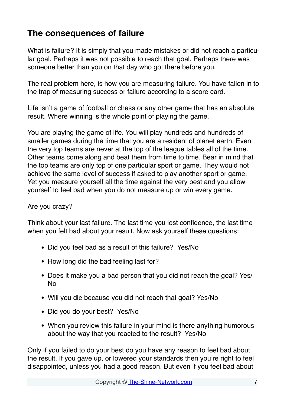#### <span id="page-9-0"></span>**The consequences of failure**

What is failure? It is simply that you made mistakes or did not reach a particular goal. Perhaps it was not possible to reach that goal. Perhaps there was someone better than you on that day who got there before you.

The real problem here, is how you are measuring failure. You have fallen in to the trap of measuring success or failure according to a score card.

Life isn't a game of football or chess or any other game that has an absolute result. Where winning is the whole point of playing the game.

You are playing the game of life. You will play hundreds and hundreds of smaller games during the time that you are a resident of planet earth. Even the very top teams are never at the top of the league tables all of the time. Other teams come along and beat them from time to time. Bear in mind that the top teams are only top of one particular sport or game. They would not achieve the same level of success if asked to play another sport or game. Yet you measure yourself all the time against the very best and you allow yourself to feel bad when you do not measure up or win every game.

#### Are you crazy?

Think about your last failure. The last time you lost confidence, the last time when you felt bad about your result. Now ask yourself these questions:

- Did you feel bad as a result of this failure? Yes/No
- How long did the bad feeling last for?
- Does it make you a bad person that you did not reach the goal? Yes/ No
- Will you die because you did not reach that goal? Yes/No
- Did you do your best? Yes/No
- When you review this failure in your mind is there anything humorous about the way that you reacted to the result? Yes/No

Only if you failed to do your best do you have any reason to feel bad about the result. If you gave up, or lowered your standards then you're right to feel disappointed, unless you had a good reason. But even if you feel bad about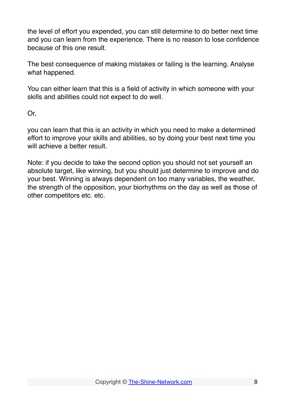the level of effort you expended, you can still determine to do better next time and you can learn from the experience. There is no reason to lose confidence because of this one result.

The best consequence of making mistakes or failing is the learning. Analyse what happened.

You can either learn that this is a field of activity in which someone with your skills and abilities could not expect to do well.

Or,

you can learn that this is an activity in which you need to make a determined effort to improve your skills and abilities, so by doing your best next time you will achieve a better result.

Note: if you decide to take the second option you should not set yourself an absolute target, like winning, but you should just determine to improve and do your best. Winning is always dependent on too many variables, the weather, the strength of the opposition, your biorhythms on the day as well as those of other competitors etc. etc.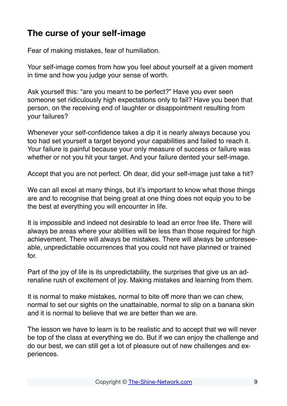### <span id="page-11-0"></span>**The curse of your self-image**

Fear of making mistakes, fear of humiliation.

Your self-image comes from how you feel about yourself at a given moment in time and how you judge your sense of worth.

Ask yourself this: "are you meant to be perfect?" Have you ever seen someone set ridiculously high expectations only to fail? Have you been that person, on the receiving end of laughter or disappointment resulting from your failures?

Whenever your self-confidence takes a dip it is nearly always because you too had set yourself a target beyond your capabilities and failed to reach it. Your failure is painful because your only measure of success or failure was whether or not you hit your target. And your failure dented your self-image.

Accept that you are not perfect. Oh dear, did your self-image just take a hit?

We can all excel at many things, but it's important to know what those things are and to recognise that being great at one thing does not equip you to be the best at everything you will encounter in life.

It is impossible and indeed not desirable to lead an error free life. There will always be areas where your abilities will be less than those required for high achievement. There will always be mistakes. There will always be unforeseeable, unpredictable occurrences that you could not have planned or trained for.

Part of the joy of life is its unpredictability, the surprises that give us an adrenaline rush of excitement of joy. Making mistakes and learning from them.

It is normal to make mistakes, normal to bite off more than we can chew, normal to set our sights on the unattainable, normal to slip on a banana skin and it is normal to believe that we are better than we are.

The lesson we have to learn is to be realistic and to accept that we will never be top of the class at everything we do. But if we can enjoy the challenge and do our best, we can still get a lot of pleasure out of new challenges and experiences.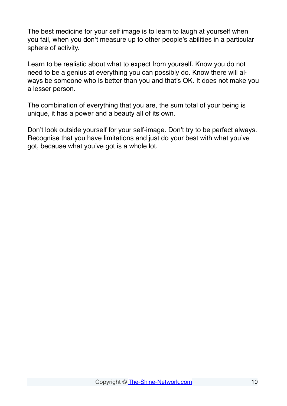The best medicine for your self image is to learn to laugh at yourself when you fail, when you don't measure up to other people's abilities in a particular sphere of activity.

Learn to be realistic about what to expect from yourself. Know you do not need to be a genius at everything you can possibly do. Know there will always be someone who is better than you and that's OK. It does not make you a lesser person.

The combination of everything that you are, the sum total of your being is unique, it has a power and a beauty all of its own.

Don't look outside yourself for your self-image. Don't try to be perfect always. Recognise that you have limitations and just do your best with what you've got, because what you've got is a whole lot.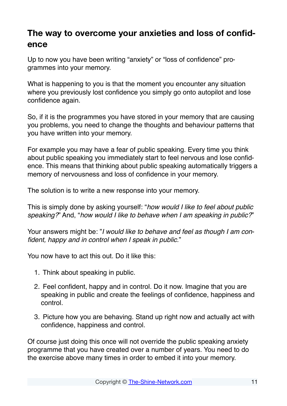#### <span id="page-13-0"></span>**The way to overcome your anxieties and loss of confidence**

Up to now you have been writing "anxiety" or "loss of confidence" programmes into your memory.

What is happening to you is that the moment you encounter any situation where you previously lost confidence you simply go onto autopilot and lose confidence again.

So, if it is the programmes you have stored in your memory that are causing you problems, you need to change the thoughts and behaviour patterns that you have written into your memory.

For example you may have a fear of public speaking. Every time you think about public speaking you immediately start to feel nervous and lose confidence. This means that thinking about public speaking automatically triggers a memory of nervousness and loss of confidence in your memory.

The solution is to write a new response into your memory.

This is simply done by asking yourself: "*how would I like to feel about public speaking?*" And, "*how would I like to behave when I am speaking in public?*"

Your answers might be: "*I would like to behave and feel as though I am confident, happy and in control when I speak in public.*"

You now have to act this out. Do it like this:

- 1. Think about speaking in public.
- 2. Feel confident, happy and in control. Do it now. Imagine that you are speaking in public and create the feelings of confidence, happiness and control.
- 3. Picture how you are behaving. Stand up right now and actually act with confidence, happiness and control.

Of course just doing this once will not override the public speaking anxiety programme that you have created over a number of years. You need to do the exercise above many times in order to embed it into your memory.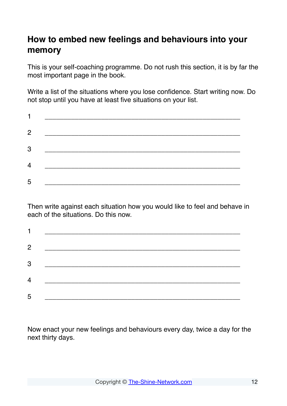## <span id="page-14-0"></span>**How to embed new feelings and behaviours into your memory**

This is your self-coaching programme. Do not rush this section, it is by far the most important page in the book.

Write a list of the situations where you lose confidence. Start writing now. Do not stop until you have at least five situations on your list.

| $\overline{2}$ |  |
|----------------|--|
| 3              |  |
| $\overline{4}$ |  |
| 5              |  |

Then write against each situation how you would like to feel and behave in each of the situations. Do this now.

| $\overline{2}$ |  |
|----------------|--|
| 3              |  |
| $\overline{4}$ |  |
| 5              |  |

Now enact your new feelings and behaviours every day, twice a day for the next thirty days.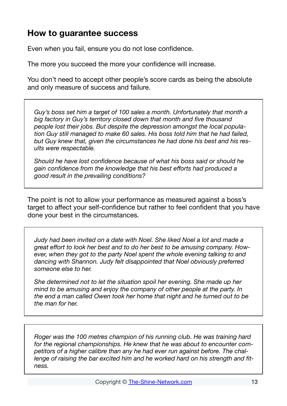#### <span id="page-15-0"></span>**How to guarantee success**

Even when you fail, ensure you do not lose confidence.

The more you succeed the more your confidence will increase.

You don't need to accept other people's score cards as being the absolute and only measure of success and failure.

*Guy's boss set him a target of 100 sales a month. Unfortunately that month a big factory in Guy's territory closed down that month and five thousand people lost their jobs. But despite the depression amongst the local population Guy still managed to make 60 sales. His boss told him that he had failed, but Guy knew that, given the circumstances he had done his best and his results were respectable.*

*Should he have lost confidence because of what his boss said or should he gain confidence from the knowledge that his best efforts had produced a good result in the prevailing conditions?*

The point is not to allow your performance as measured against a boss's target to affect your self-confidence but rather to feel confident that you have done your best in the circumstances.

*Judy had been invited on a date with Noel. She liked Noel a lot and made a great effort to look her best and to do her best to be amusing company. However, when they got to the party Noel spent the whole evening talking to and dancing with Shannon. Judy felt disappointed that Noel obviously preferred someone else to her.*

*She determined not to let the situation spoil her evening. She made up her mind to be amusing and enjoy the company of other people at the party. In the end a man called Owen took her home that night and he turned out to be the man for her.*

*Roger was the 100 metres champion of his running club. He was training hard for the regional championships. He knew that he was about to encounter competitors of a higher calibre than any he had ever run against before. The challenge of raising the bar excited him and he worked hard on his strength and fitness.*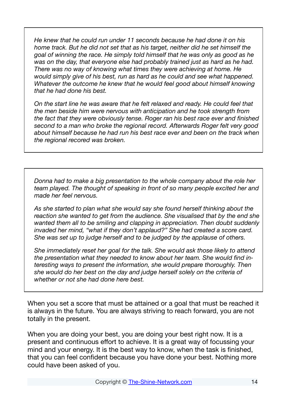*He knew that he could run under 11 seconds because he had done it on his home track. But he did not set that as his target, neither did he set himself the goal of winning the race. He simply told himself that he was only as good as he was on the day, that everyone else had probably trained just as hard as he had. There was no way of knowing what times they were achieving at home. He would simply give of his best, run as hard as he could and see what happened. Whatever the outcome he knew that he would feel good about himself knowing that he had done his best.*

*On the start line he was aware that he felt relaxed and ready. He could feel that the men beside him were nervous with anticipation and he took strength from the fact that they were obviously tense. Roger ran his best race ever and finished second to a man who broke the regional record. Afterwards Roger felt very good about himself because he had run his best race ever and been on the track when the regional recored was broken.*

*Donna had to make a big presentation to the whole company about the role her team played. The thought of speaking in front of so many people excited her and made her feel nervous.*

*As she started to plan what she would say she found herself thinking about the reaction she wanted to get from the audience. She visualised that by the end she wanted them all to be smiling and clapping in appreciation. Then doubt suddenly invaded her mind, "what if they don't applaud?" She had created a score card. She was set up to judge herself and to be judged by the applause of others.*

*She immediately reset her goal for the talk. She would ask those likely to attend the presentation what they needed to know about her team. She would find interesting ways to present the information, she would prepare thoroughly. Then she would do her best on the day and judge herself solely on the criteria of whether or not she had done here best.*

When you set a score that must be attained or a goal that must be reached it is always in the future. You are always striving to reach forward, you are not totally in the present.

When you are doing your best, you are doing your best right now. It is a present and continuous effort to achieve. It is a great way of focussing your mind and your energy. It is the best way to know, when the task is finished, that you can feel confident because you have done your best. Nothing more could have been asked of you.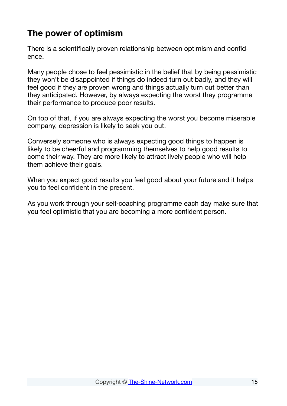### <span id="page-17-0"></span>**The power of optimism**

There is a scientifically proven relationship between optimism and confidence.

Many people chose to feel pessimistic in the belief that by being pessimistic they won't be disappointed if things do indeed turn out badly, and they will feel good if they are proven wrong and things actually turn out better than they anticipated. However, by always expecting the worst they programme their performance to produce poor results.

On top of that, if you are always expecting the worst you become miserable company, depression is likely to seek you out.

Conversely someone who is always expecting good things to happen is likely to be cheerful and programming themselves to help good results to come their way. They are more likely to attract lively people who will help them achieve their goals.

When you expect good results you feel good about your future and it helps you to feel confident in the present.

As you work through your self-coaching programme each day make sure that you feel optimistic that you are becoming a more confident person.